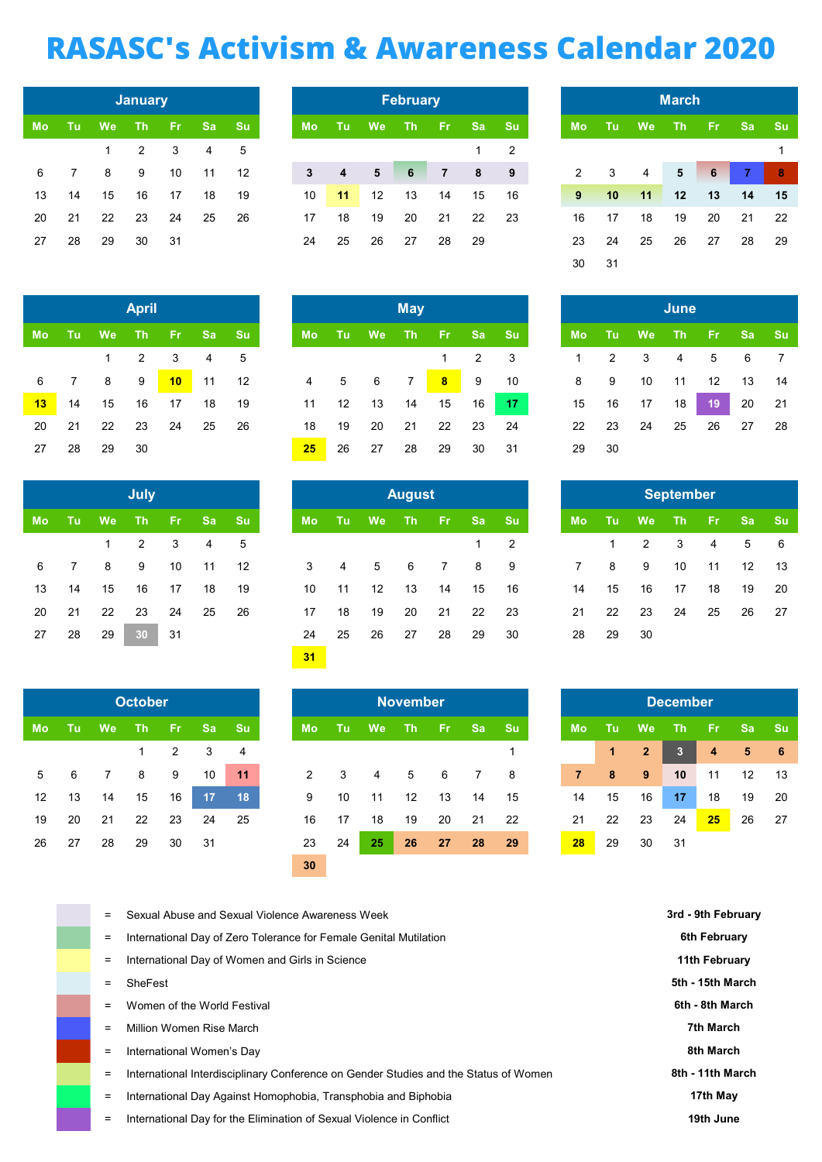## RASASC's Activism & Awareness Calendar 2020

|           |    |    | <b>January</b> |    |                 |    |
|-----------|----|----|----------------|----|-----------------|----|
| <b>Mo</b> | Tu | We | Th             | Fr | $S\overline{a}$ | Su |
|           |    | 1  | 2              | 3  | 4               | 5  |
| 6         | 7  | 8  | 9              | 10 | 11              | 12 |
| 13        | 14 | 15 | 16             | 17 | 18              | 19 |
| 20        | 21 | 22 | 23             | 24 | 25              | 26 |
| 27        | 28 | 29 | 30             | 31 |                 |    |

|    |    |    | <b>April</b> |    |    |    |
|----|----|----|--------------|----|----|----|
| Mo | Tu | We | Th           | Fr | Sa | Su |
|    |    | 1  | 2            | 3  | 4  | 5  |
| 6  | 7  | 8  | 9            | 10 | 11 | 12 |
| 13 | 14 | 15 | 16           | 17 | 18 | 19 |
| 20 | 21 | 22 | 23           | 24 | 25 | 26 |
| 27 | 28 | 29 | 30           |    |    |    |

|    |    |    | <b>July</b> |           |    |    |
|----|----|----|-------------|-----------|----|----|
| Mo | Tu | We | Th          | <b>Fr</b> | Sa | Su |
|    |    | 1  | 2           | 3         | 4  | 5  |
| 6  | 7  | 8  | 9           | 10        | 11 | 12 |
| 13 | 14 | 15 | 16          | 17        | 18 | 19 |
| 20 | 21 | 22 | 23          | 24        | 25 | 26 |
| 27 | 28 | 29 | 30          | 31        |    |    |

|    |    |    | <b>October</b> |    |    |    |
|----|----|----|----------------|----|----|----|
| Mo | Tu | We | Th             | Fr | Sa | Su |
|    |    |    | 1              | 2  | 3  | 4  |
| 5  | 6  | 7  | 8              | 9  | 10 | 11 |
| 12 | 13 | 14 | 15             | 16 | 17 | 18 |
| 19 | 20 | 21 | 22             | 23 | 24 | 25 |
| 26 | 27 | 28 | 29             | 30 | 31 |    |

l,

|    |             |              | January |            |    |       |           |           |                   | <b>February</b> |                |           |           |
|----|-------------|--------------|---------|------------|----|-------|-----------|-----------|-------------------|-----------------|----------------|-----------|-----------|
| Mo | - Tul       | <b>We</b>    | Th.     | <b>ATT</b> |    | Sa Su | <b>Mo</b> | <b>Tu</b> | <b>We</b>         | Th.             | - Fri          | <b>Sa</b> | <b>Su</b> |
|    |             | $\mathbf{1}$ | 2       | 3          | 4  | 5     |           |           |                   |                 |                |           | 2         |
| 6  | $7^{\circ}$ | 8            | 9       | 10         | 11 | 12    | 3         | 4         | 5 <sub>1</sub>    | 6               | $\overline{7}$ | 8         | - 9       |
| 13 | 14          | 15           | 16      | 17         | 18 | 19    | 10        | 11        | $12 \overline{ }$ | 13              | 14             | 15        | 16        |
| 20 | 21          | 22           | 23      | 24         | 25 | -26   | 17        | 18        | 19                | 20              | 21             | 22        | -23       |
| 27 | 28          | 29           | 30      | -31        |    |       | 24        | 25        | 26                | 27              | 28             | 29        |           |
|    |             |              |         |            |    |       |           |           |                   |                 |                |           |           |

|  |                                                                                          | <b>April</b> |                                     |  |                 |                            | <b>May</b> |       |  |
|--|------------------------------------------------------------------------------------------|--------------|-------------------------------------|--|-----------------|----------------------------|------------|-------|--|
|  | Mo Tu We Th Fr Sa Su                                                                     |              |                                     |  |                 | Mo Tu We Th Fr Sa Su       |            |       |  |
|  |                                                                                          |              | $1 \quad 2 \quad 3 \quad 4 \quad 5$ |  |                 |                            |            | 1 2 3 |  |
|  | 6 7 8 9 <mark>10</mark> 11 12 4 5 6 7 <mark>8</mark> 9 10 8 9 10 11 12 13 14             |              |                                     |  |                 |                            |            |       |  |
|  | <mark>13</mark> 14 15 16 17 18 19 11 12 13 14 15 16 <mark>17</mark> 15 16 17 18 19 20 21 |              |                                     |  |                 |                            |            |       |  |
|  | 20 21 22 23 24 25 26                                                                     |              |                                     |  |                 | 18  19  20  21  22  23  24 |            |       |  |
|  | 27  28  29  30                                                                           |              |                                     |  | 25 <sub>2</sub> | 26 27 28 29 30 31          |            |       |  |

|    |             |              | July |       |       |     |           | <b>August</b> |    |                |    |                |           |                |             |    |              |                         |                 | September |                   |
|----|-------------|--------------|------|-------|-------|-----|-----------|---------------|----|----------------|----|----------------|-----------|----------------|-------------|----|--------------|-------------------------|-----------------|-----------|-------------------|
| Mo | - Tu        | <b>We</b>    | Th   | - Fri | Sa Su |     | <b>Mo</b> |               | Tu | We             | Th | - Fri          | <b>Sa</b> | <b>Su</b>      | <b>Mo</b>   |    |              | <b>We</b><br><b>ATU</b> | Th <sub>1</sub> | - Fri     | <b>Sa</b><br>⊟ Su |
|    |             | $\mathbf{1}$ | 2    | 3     | 4     | 5   |           |               |    |                |    |                |           | $\overline{2}$ |             |    | $\mathbf{1}$ | 2                       | 3               | 4         | 5                 |
| 6  | $7^{\circ}$ | 8            | 9    | 10    | 11    | 12  | 3         |               | 4  | 5 <sup>5</sup> | 6  | $\overline{7}$ | 8         | - 9            | $7^{\circ}$ |    | 8            | 9                       | 10              | 11        | 12                |
| 13 | 14          | 15           | 16   | 17    | 18    | 19  | 10        |               | 11 | 12             | 13 | 14             | 15        | 16             | 14          |    | 15           | 16                      | 17              | 18        | 19                |
| 20 | 21          | 22           | 23   | 24    | 25    | -26 | 17        |               | 18 | 19             | 20 | 21             | 22        | 23             | 21          |    | 22           | 23                      | 24              | 25        | 26                |
| 27 | 28          | 29           | 30   | 31    |       |     | 24        |               | 25 | 26             | 27 | 28             | 29        | 30             | 28          | 29 |              | 30                      |                 |           |                   |
|    |             |              |      |       |       |     | 31        |               |    |                |    |                |           |                |             |    |              |                         |                 |           |                   |

|                 |    |           | <b>October</b> |               |     |                |           |     |                 | <b>November</b> |     |                |           |                |            |              | <b>December</b> |      |
|-----------------|----|-----------|----------------|---------------|-----|----------------|-----------|-----|-----------------|-----------------|-----|----------------|-----------|----------------|------------|--------------|-----------------|------|
| Mo              | Tu | <b>We</b> | <b>Th</b>      | Æ7            |     | Sa Su          | <b>Mo</b> | Tu: | <b>We</b>       | <b>Th</b>       | -Fr | <b>Sa</b>      | <b>Su</b> | <b>Mo</b>      | <b>ATU</b> | <b>We</b>    | <b>Th</b>       | -Fr. |
|                 |    |           |                | $\mathcal{P}$ | 3   | $\overline{4}$ |           |     |                 |                 |     |                |           |                | 1          | $\mathbf{2}$ | ßł              | 4    |
| 5               | 6  |           | 8              | 9             | 10  | 11             | 2         | 3   | 4               | 5               | 6   | $\overline{7}$ | -8        | $\overline{7}$ | 8          | 9            | 10              | 11   |
| 12 <sup>2</sup> | 13 | 14        | 15             | 16            | 17  | 18             | 9         | 10  | 11              | 12              | 13  | 14             | 15        | 14             | 15         | 16           | 17              | 18   |
| 19              | 20 | 21        | 22             | 23            | 24  | 25             | 16        | 17  | 18              | 19              | 20  | 21             | 22        | 21             | 22         | 23           | 24              | 25   |
| 26              | 27 | 28        | 29             | 30            | -31 |                | 23        | 24  | 25 <sub>i</sub> | 26              | 27  | 28             | 29        | 28             | 29         | 30           | 31              |      |
|                 |    |           |                |               |     |                | 30        |     |                 |                 |     |                |           |                |            |              |                 |      |

|    |    |    | <b>March</b> |    |    |    |
|----|----|----|--------------|----|----|----|
| Mo | Tu | We | Th           | Fr | Sa | Su |
|    |    |    |              |    |    | 1  |
| 2  | 3  | 4  | 5            | 6  | 7  | 8  |
| 9  | 10 | 11 | 12           | 13 | 14 | 15 |
| 16 | 17 | 18 | 19           | 20 | 21 | 22 |
| 23 | 24 | 25 | 26           | 27 | 28 | 29 |
| 30 | 31 |    |              |    |    |    |

|    |    |    | June      |    |    |    |
|----|----|----|-----------|----|----|----|
| Mo | Tu | We | <b>Th</b> | Fr | Sa | Su |
| 1  | 2  | 3  | 4         | 5  | 6  | 7  |
| 8  | 9  | 10 | 11        | 12 | 13 | 14 |
| 15 | 16 | 17 | 18        | 19 | 20 | 21 |
| 22 | 23 | 24 | 25        | 26 | 27 | 28 |
| 29 | 30 |    |           |    |    |    |

|    |    |    | <b>September</b> |    |    |    |
|----|----|----|------------------|----|----|----|
| Mo | Tu | We | Th               | Fr | Sa | Su |
|    | 1  | 2  | 3                | 4  | 5  | 6  |
| 7  | 8  | 9  | 10               | 11 | 12 | 13 |
| 14 | 15 | 16 | 17               | 18 | 19 | 20 |
| 21 | 22 | 23 | 24               | 25 | 26 | 27 |
| 28 | 29 | 30 |                  |    |    |    |

|    | <b>November</b> |           |    |           |                |    |                | <b>December</b>         |    |  |
|----|-----------------|-----------|----|-----------|----------------|----|----------------|-------------------------|----|--|
| le | <b>Th</b>       | <b>Fr</b> | Sa | <b>Su</b> | <b>Mo</b>      | Tu | We             | Th                      | Fr |  |
|    |                 |           |    | 1         |                | 1  | $\overline{2}$ | $\overline{\mathbf{3}}$ | 4  |  |
|    | 5               | 6         | 7  | 8         | $\overline{7}$ | 8  | 9              | 10                      | 11 |  |
| 1  | 12              | 13        | 14 | 15        | 14             | 15 | 16             | 17                      | 18 |  |
| 8  | 19              | 20        | 21 | 22        | 21             | 22 | 23             | 24                      | 25 |  |
| 5  | 26              | 27        | 28 | 29        | 28             | 29 | 30             | 31                      |    |  |

|     | Sexual Abuse and Sexual Violence Awareness Week                                      | 3rd - 9th February |
|-----|--------------------------------------------------------------------------------------|--------------------|
| $=$ | International Day of Zero Tolerance for Female Genital Mutilation                    | 6th February       |
| $=$ | International Day of Women and Girls in Science                                      | 11th February      |
|     | SheFest                                                                              | 5th - 15th March   |
|     | Women of the World Festival                                                          | 6th - 8th March    |
|     | Million Women Rise March                                                             | 7th March          |
| $=$ | International Women's Day                                                            | 8th March          |
| =   | International Interdisciplinary Conference on Gender Studies and the Status of Women | 8th - 11th March   |
| =   | International Day Against Homophobia, Transphobia and Biphobia                       | 17th May           |
| =   | International Day for the Elimination of Sexual Violence in Conflict                 | 19th June          |
|     |                                                                                      |                    |